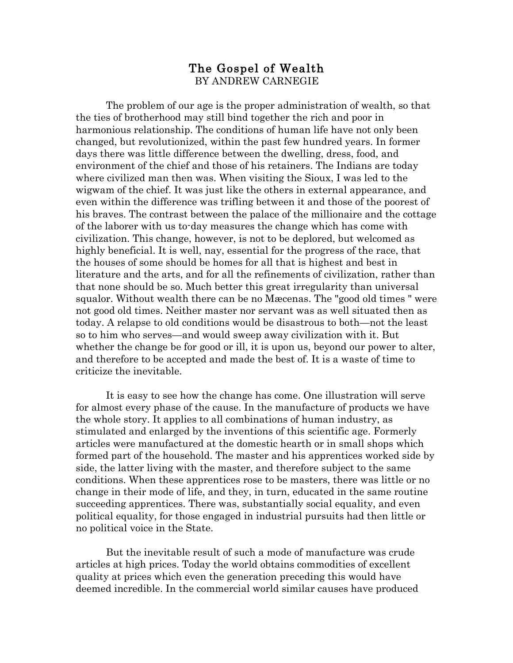## The Gospel of Wealth BY ANDREW CARNEGIE

The problem of our age is the proper administration of wealth, so that the ties of brotherhood may still bind together the rich and poor in harmonious relationship. The conditions of human life have not only been changed, but revolutionized, within the past few hundred years. In former days there was little difference between the dwelling, dress, food, and environment of the chief and those of his retainers. The Indians are today where civilized man then was. When visiting the Sioux, I was led to the wigwam of the chief. It was just like the others in external appearance, and even within the difference was trifling between it and those of the poorest of his braves. The contrast between the palace of the millionaire and the cottage of the laborer with us to-day measures the change which has come with civilization. This change, however, is not to be deplored, but welcomed as highly beneficial. It is well, nay, essential for the progress of the race, that the houses of some should be homes for all that is highest and best in literature and the arts, and for all the refinements of civilization, rather than that none should be so. Much better this great irregularity than universal squalor. Without wealth there can be no Mæcenas. The "good old times " were not good old times. Neither master nor servant was as well situated then as today. A relapse to old conditions would be disastrous to both—not the least so to him who serves—and would sweep away civilization with it. But whether the change be for good or ill, it is upon us, beyond our power to alter, and therefore to be accepted and made the best of. It is a waste of time to criticize the inevitable.

It is easy to see how the change has come. One illustration will serve for almost every phase of the cause. In the manufacture of products we have the whole story. It applies to all combinations of human industry, as stimulated and enlarged by the inventions of this scientific age. Formerly articles were manufactured at the domestic hearth or in small shops which formed part of the household. The master and his apprentices worked side by side, the latter living with the master, and therefore subject to the same conditions. When these apprentices rose to be masters, there was little or no change in their mode of life, and they, in turn, educated in the same routine succeeding apprentices. There was, substantially social equality, and even political equality, for those engaged in industrial pursuits had then little or no political voice in the State.

But the inevitable result of such a mode of manufacture was crude articles at high prices. Today the world obtains commodities of excellent quality at prices which even the generation preceding this would have deemed incredible. In the commercial world similar causes have produced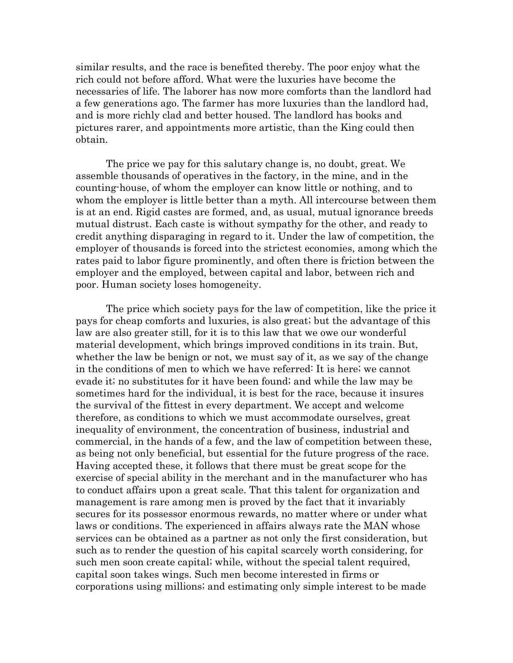similar results, and the race is benefited thereby. The poor enjoy what the rich could not before afford. What were the luxuries have become the necessaries of life. The laborer has now more comforts than the landlord had a few generations ago. The farmer has more luxuries than the landlord had, and is more richly clad and better housed. The landlord has books and pictures rarer, and appointments more artistic, than the King could then obtain.

The price we pay for this salutary change is, no doubt, great. We assemble thousands of operatives in the factory, in the mine, and in the counting-house, of whom the employer can know little or nothing, and to whom the employer is little better than a myth. All intercourse between them is at an end. Rigid castes are formed, and, as usual, mutual ignorance breeds mutual distrust. Each caste is without sympathy for the other, and ready to credit anything disparaging in regard to it. Under the law of competition, the employer of thousands is forced into the strictest economies, among which the rates paid to labor figure prominently, and often there is friction between the employer and the employed, between capital and labor, between rich and poor. Human society loses homogeneity.

The price which society pays for the law of competition, like the price it pays for cheap comforts and luxuries, is also great; but the advantage of this law are also greater still, for it is to this law that we owe our wonderful material development, which brings improved conditions in its train. But, whether the law be benign or not, we must say of it, as we say of the change in the conditions of men to which we have referred: It is here; we cannot evade it; no substitutes for it have been found; and while the law may be sometimes hard for the individual, it is best for the race, because it insures the survival of the fittest in every department. We accept and welcome therefore, as conditions to which we must accommodate ourselves, great inequality of environment, the concentration of business, industrial and commercial, in the hands of a few, and the law of competition between these, as being not only beneficial, but essential for the future progress of the race. Having accepted these, it follows that there must be great scope for the exercise of special ability in the merchant and in the manufacturer who has to conduct affairs upon a great scale. That this talent for organization and management is rare among men is proved by the fact that it invariably secures for its possessor enormous rewards, no matter where or under what laws or conditions. The experienced in affairs always rate the MAN whose services can be obtained as a partner as not only the first consideration, but such as to render the question of his capital scarcely worth considering, for such men soon create capital; while, without the special talent required, capital soon takes wings. Such men become interested in firms or corporations using millions; and estimating only simple interest to be made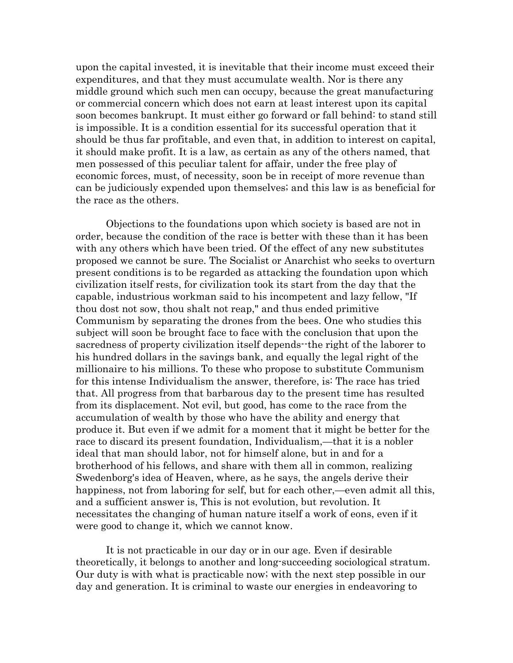upon the capital invested, it is inevitable that their income must exceed their expenditures, and that they must accumulate wealth. Nor is there any middle ground which such men can occupy, because the great manufacturing or commercial concern which does not earn at least interest upon its capital soon becomes bankrupt. It must either go forward or fall behind: to stand still is impossible. It is a condition essential for its successful operation that it should be thus far profitable, and even that, in addition to interest on capital, it should make profit. It is a law, as certain as any of the others named, that men possessed of this peculiar talent for affair, under the free play of economic forces, must, of necessity, soon be in receipt of more revenue than can be judiciously expended upon themselves; and this law is as beneficial for the race as the others.

Objections to the foundations upon which society is based are not in order, because the condition of the race is better with these than it has been with any others which have been tried. Of the effect of any new substitutes proposed we cannot be sure. The Socialist or Anarchist who seeks to overturn present conditions is to be regarded as attacking the foundation upon which civilization itself rests, for civilization took its start from the day that the capable, industrious workman said to his incompetent and lazy fellow, "If thou dost not sow, thou shalt not reap," and thus ended primitive Communism by separating the drones from the bees. One who studies this subject will soon be brought face to face with the conclusion that upon the sacredness of property civilization itself depends--the right of the laborer to his hundred dollars in the savings bank, and equally the legal right of the millionaire to his millions. To these who propose to substitute Communism for this intense Individualism the answer, therefore, is: The race has tried that. All progress from that barbarous day to the present time has resulted from its displacement. Not evil, but good, has come to the race from the accumulation of wealth by those who have the ability and energy that produce it. But even if we admit for a moment that it might be better for the race to discard its present foundation, Individualism,—that it is a nobler ideal that man should labor, not for himself alone, but in and for a brotherhood of his fellows, and share with them all in common, realizing Swedenborg's idea of Heaven, where, as he says, the angels derive their happiness, not from laboring for self, but for each other,—even admit all this, and a sufficient answer is, This is not evolution, but revolution. It necessitates the changing of human nature itself a work of eons, even if it were good to change it, which we cannot know.

It is not practicable in our day or in our age. Even if desirable theoretically, it belongs to another and long-succeeding sociological stratum. Our duty is with what is practicable now; with the next step possible in our day and generation. It is criminal to waste our energies in endeavoring to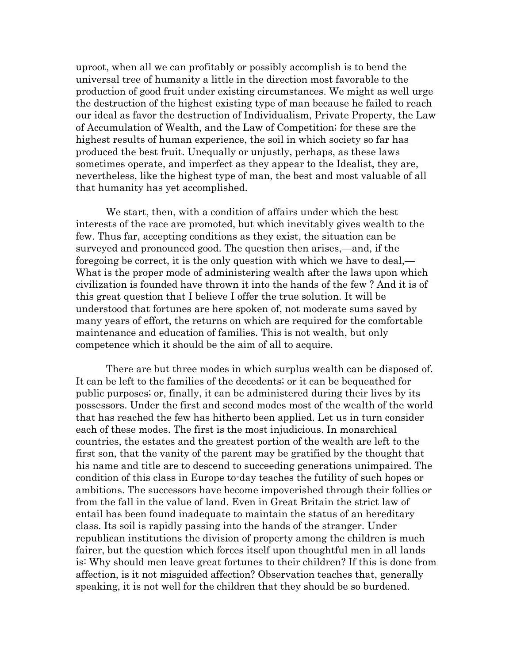uproot, when all we can profitably or possibly accomplish is to bend the universal tree of humanity a little in the direction most favorable to the production of good fruit under existing circumstances. We might as well urge the destruction of the highest existing type of man because he failed to reach our ideal as favor the destruction of Individualism, Private Property, the Law of Accumulation of Wealth, and the Law of Competition; for these are the highest results of human experience, the soil in which society so far has produced the best fruit. Unequally or unjustly, perhaps, as these laws sometimes operate, and imperfect as they appear to the Idealist, they are, nevertheless, like the highest type of man, the best and most valuable of all that humanity has yet accomplished.

We start, then, with a condition of affairs under which the best interests of the race are promoted, but which inevitably gives wealth to the few. Thus far, accepting conditions as they exist, the situation can be surveyed and pronounced good. The question then arises,—and, if the foregoing be correct, it is the only question with which we have to deal,— What is the proper mode of administering wealth after the laws upon which civilization is founded have thrown it into the hands of the few ? And it is of this great question that I believe I offer the true solution. It will be understood that fortunes are here spoken of, not moderate sums saved by many years of effort, the returns on which are required for the comfortable maintenance and education of families. This is not wealth, but only competence which it should be the aim of all to acquire.

There are but three modes in which surplus wealth can be disposed of. It can be left to the families of the decedents; or it can be bequeathed for public purposes; or, finally, it can be administered during their lives by its possessors. Under the first and second modes most of the wealth of the world that has reached the few has hitherto been applied. Let us in turn consider each of these modes. The first is the most injudicious. In monarchical countries, the estates and the greatest portion of the wealth are left to the first son, that the vanity of the parent may be gratified by the thought that his name and title are to descend to succeeding generations unimpaired. The condition of this class in Europe to-day teaches the futility of such hopes or ambitions. The successors have become impoverished through their follies or from the fall in the value of land. Even in Great Britain the strict law of entail has been found inadequate to maintain the status of an hereditary class. Its soil is rapidly passing into the hands of the stranger. Under republican institutions the division of property among the children is much fairer, but the question which forces itself upon thoughtful men in all lands is: Why should men leave great fortunes to their children? If this is done from affection, is it not misguided affection? Observation teaches that, generally speaking, it is not well for the children that they should be so burdened.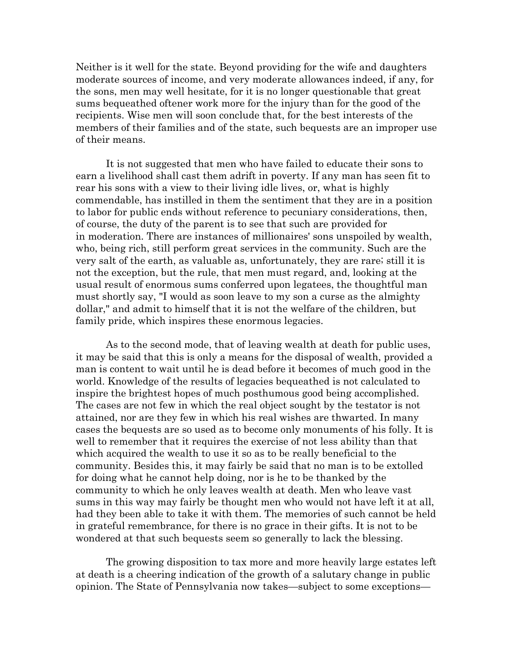Neither is it well for the state. Beyond providing for the wife and daughters moderate sources of income, and very moderate allowances indeed, if any, for the sons, men may well hesitate, for it is no longer questionable that great sums bequeathed oftener work more for the injury than for the good of the recipients. Wise men will soon conclude that, for the best interests of the members of their families and of the state, such bequests are an improper use of their means.

It is not suggested that men who have failed to educate their sons to earn a livelihood shall cast them adrift in poverty. If any man has seen fit to rear his sons with a view to their living idle lives, or, what is highly commendable, has instilled in them the sentiment that they are in a position to labor for public ends without reference to pecuniary considerations, then, of course, the duty of the parent is to see that such are provided for in moderation. There are instances of millionaires' sons unspoiled by wealth, who, being rich, still perform great services in the community. Such are the very salt of the earth, as valuable as, unfortunately, they are rare; still it is not the exception, but the rule, that men must regard, and, looking at the usual result of enormous sums conferred upon legatees, the thoughtful man must shortly say, "I would as soon leave to my son a curse as the almighty dollar," and admit to himself that it is not the welfare of the children, but family pride, which inspires these enormous legacies.

As to the second mode, that of leaving wealth at death for public uses, it may be said that this is only a means for the disposal of wealth, provided a man is content to wait until he is dead before it becomes of much good in the world. Knowledge of the results of legacies bequeathed is not calculated to inspire the brightest hopes of much posthumous good being accomplished. The cases are not few in which the real object sought by the testator is not attained, nor are they few in which his real wishes are thwarted. In many cases the bequests are so used as to become only monuments of his folly. It is well to remember that it requires the exercise of not less ability than that which acquired the wealth to use it so as to be really beneficial to the community. Besides this, it may fairly be said that no man is to be extolled for doing what he cannot help doing, nor is he to be thanked by the community to which he only leaves wealth at death. Men who leave vast sums in this way may fairly be thought men who would not have left it at all, had they been able to take it with them. The memories of such cannot be held in grateful remembrance, for there is no grace in their gifts. It is not to be wondered at that such bequests seem so generally to lack the blessing.

The growing disposition to tax more and more heavily large estates left at death is a cheering indication of the growth of a salutary change in public opinion. The State of Pennsylvania now takes—subject to some exceptions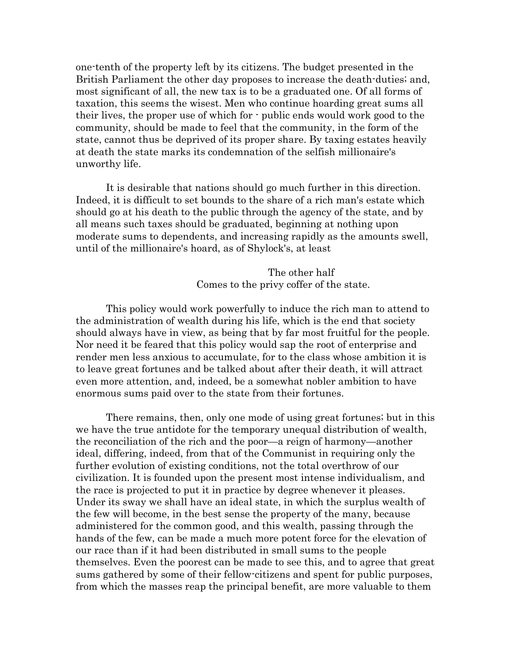one-tenth of the property left by its citizens. The budget presented in the British Parliament the other day proposes to increase the death-duties; and, most significant of all, the new tax is to be a graduated one. Of all forms of taxation, this seems the wisest. Men who continue hoarding great sums all their lives, the proper use of which for - public ends would work good to the community, should be made to feel that the community, in the form of the state, cannot thus be deprived of its proper share. By taxing estates heavily at death the state marks its condemnation of the selfish millionaire's unworthy life.

It is desirable that nations should go much further in this direction. Indeed, it is difficult to set bounds to the share of a rich man's estate which should go at his death to the public through the agency of the state, and by all means such taxes should be graduated, beginning at nothing upon moderate sums to dependents, and increasing rapidly as the amounts swell, until of the millionaire's hoard, as of Shylock's, at least

> The other half Comes to the privy coffer of the state.

This policy would work powerfully to induce the rich man to attend to the administration of wealth during his life, which is the end that society should always have in view, as being that by far most fruitful for the people. Nor need it be feared that this policy would sap the root of enterprise and render men less anxious to accumulate, for to the class whose ambition it is to leave great fortunes and be talked about after their death, it will attract even more attention, and, indeed, be a somewhat nobler ambition to have enormous sums paid over to the state from their fortunes.

There remains, then, only one mode of using great fortunes; but in this we have the true antidote for the temporary unequal distribution of wealth, the reconciliation of the rich and the poor—a reign of harmony—another ideal, differing, indeed, from that of the Communist in requiring only the further evolution of existing conditions, not the total overthrow of our civilization. It is founded upon the present most intense individualism, and the race is projected to put it in practice by degree whenever it pleases. Under its sway we shall have an ideal state, in which the surplus wealth of the few will become, in the best sense the property of the many, because administered for the common good, and this wealth, passing through the hands of the few, can be made a much more potent force for the elevation of our race than if it had been distributed in small sums to the people themselves. Even the poorest can be made to see this, and to agree that great sums gathered by some of their fellow-citizens and spent for public purposes, from which the masses reap the principal benefit, are more valuable to them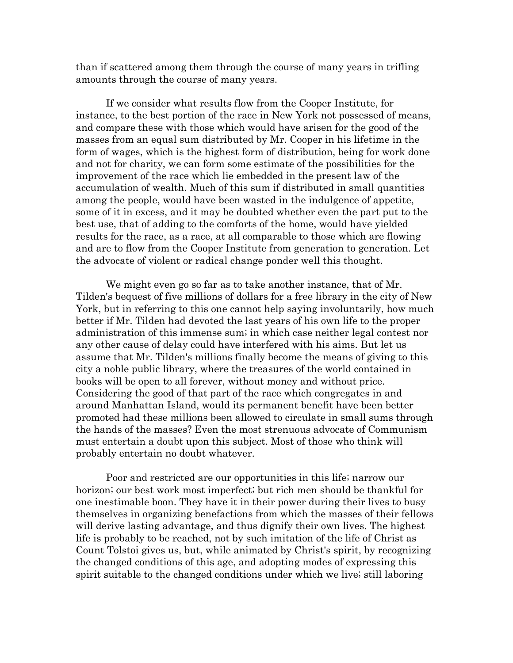than if scattered among them through the course of many years in trifling amounts through the course of many years.

If we consider what results flow from the Cooper Institute, for instance, to the best portion of the race in New York not possessed of means, and compare these with those which would have arisen for the good of the masses from an equal sum distributed by Mr. Cooper in his lifetime in the form of wages, which is the highest form of distribution, being for work done and not for charity, we can form some estimate of the possibilities for the improvement of the race which lie embedded in the present law of the accumulation of wealth. Much of this sum if distributed in small quantities among the people, would have been wasted in the indulgence of appetite, some of it in excess, and it may be doubted whether even the part put to the best use, that of adding to the comforts of the home, would have yielded results for the race, as a race, at all comparable to those which are flowing and are to flow from the Cooper Institute from generation to generation. Let the advocate of violent or radical change ponder well this thought.

We might even go so far as to take another instance, that of Mr. Tilden's bequest of five millions of dollars for a free library in the city of New York, but in referring to this one cannot help saying involuntarily, how much better if Mr. Tilden had devoted the last years of his own life to the proper administration of this immense sum; in which case neither legal contest nor any other cause of delay could have interfered with his aims. But let us assume that Mr. Tilden's millions finally become the means of giving to this city a noble public library, where the treasures of the world contained in books will be open to all forever, without money and without price. Considering the good of that part of the race which congregates in and around Manhattan Island, would its permanent benefit have been better promoted had these millions been allowed to circulate in small sums through the hands of the masses? Even the most strenuous advocate of Communism must entertain a doubt upon this subject. Most of those who think will probably entertain no doubt whatever.

Poor and restricted are our opportunities in this life; narrow our horizon; our best work most imperfect; but rich men should be thankful for one inestimable boon. They have it in their power during their lives to busy themselves in organizing benefactions from which the masses of their fellows will derive lasting advantage, and thus dignify their own lives. The highest life is probably to be reached, not by such imitation of the life of Christ as Count Tolstoi gives us, but, while animated by Christ's spirit, by recognizing the changed conditions of this age, and adopting modes of expressing this spirit suitable to the changed conditions under which we live; still laboring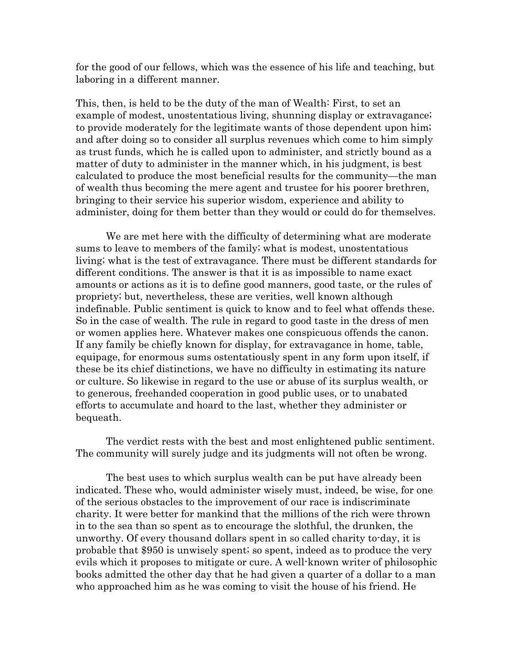for the good of our fellows, which was the essence of his life and teaching, but laboring in a different manner.

This, then, is held to be the duty of the man of Wealth: First, to set an example of modest, unostentatious living, shunning display or extravagance; to provide moderately for the legitimate wants of those dependent upon him; and after doing so to consider all surplus revenues which come to him simply as trust funds, which he is called upon to administer, and strictly bound as a matter of duty to administer in the manner which, in his judgment, is best calculated to produce the most beneficial results for the community—the man of wealth thus becoming the mere agent and trustee for his poorer brethren, bringing to their service his superior wisdom, experience and ability to administer, doing for them better than they would or could do for themselves.

We are met here with the difficulty of determining what are moderate sums to leave to members of the family; what is modest, unostentatious living; what is the test of extravagance. There must be different standards for different conditions. The answer is that it is as impossible to name exact amounts or actions as it is to define good manners, good taste, or the rules of propriety; but, nevertheless, these are verities, well known although indefinable. Public sentiment is quick to know and to feel what offends these. So in the case of wealth. The rule in regard to good taste in the dress of men or women applies here. Whatever makes one conspicuous offends the canon. If any family be chiefly known for display, for extravagance in home, table, equipage, for enormous sums ostentatiously spent in any form upon itself, if these be its chief distinctions, we have no difficulty in estimating its nature or culture. So likewise in regard to the use or abuse of its surplus wealth, or to generous, freehanded cooperation in good public uses, or to unabated efforts to accumulate and hoard to the last, whether they administer or bequeath.

The verdict rests with the best and most enlightened public sentiment. The community will surely judge and its judgments will not often be wrong.

The best uses to which surplus wealth can be put have already been indicated. These who, would administer wisely must, indeed, be wise, for one of the serious obstacles to the improvement of our race is indiscriminate charity. It were better for mankind that the millions of the rich were thrown in to the sea than so spent as to encourage the slothful, the drunken, the unworthy. Of every thousand dollars spent in so called charity to-day, it is probable that \$950 is unwisely spent; so spent, indeed as to produce the very evils which it proposes to mitigate or cure. A well-known writer of philosophic books admitted the other day that he had given a quarter of a dollar to a man who approached him as he was coming to visit the house of his friend. He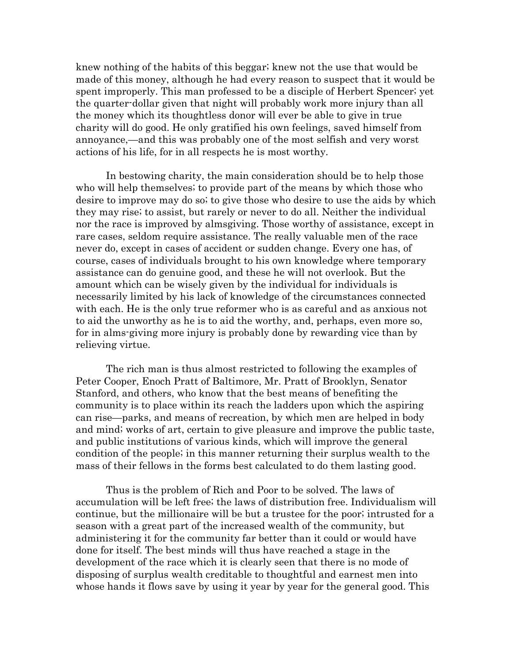knew nothing of the habits of this beggar; knew not the use that would be made of this money, although he had every reason to suspect that it would be spent improperly. This man professed to be a disciple of Herbert Spencer; yet the quarter-dollar given that night will probably work more injury than all the money which its thoughtless donor will ever be able to give in true charity will do good. He only gratified his own feelings, saved himself from annoyance,—and this was probably one of the most selfish and very worst actions of his life, for in all respects he is most worthy.

In bestowing charity, the main consideration should be to help those who will help themselves; to provide part of the means by which those who desire to improve may do so; to give those who desire to use the aids by which they may rise; to assist, but rarely or never to do all. Neither the individual nor the race is improved by almsgiving. Those worthy of assistance, except in rare cases, seldom require assistance. The really valuable men of the race never do, except in cases of accident or sudden change. Every one has, of course, cases of individuals brought to his own knowledge where temporary assistance can do genuine good, and these he will not overlook. But the amount which can be wisely given by the individual for individuals is necessarily limited by his lack of knowledge of the circumstances connected with each. He is the only true reformer who is as careful and as anxious not to aid the unworthy as he is to aid the worthy, and, perhaps, even more so, for in alms-giving more injury is probably done by rewarding vice than by relieving virtue.

The rich man is thus almost restricted to following the examples of Peter Cooper, Enoch Pratt of Baltimore, Mr. Pratt of Brooklyn, Senator Stanford, and others, who know that the best means of benefiting the community is to place within its reach the ladders upon which the aspiring can rise—parks, and means of recreation, by which men are helped in body and mind; works of art, certain to give pleasure and improve the public taste, and public institutions of various kinds, which will improve the general condition of the people; in this manner returning their surplus wealth to the mass of their fellows in the forms best calculated to do them lasting good.

Thus is the problem of Rich and Poor to be solved. The laws of accumulation will be left free; the laws of distribution free. Individualism will continue, but the millionaire will be but a trustee for the poor; intrusted for a season with a great part of the increased wealth of the community, but administering it for the community far better than it could or would have done for itself. The best minds will thus have reached a stage in the development of the race which it is clearly seen that there is no mode of disposing of surplus wealth creditable to thoughtful and earnest men into whose hands it flows save by using it year by year for the general good. This